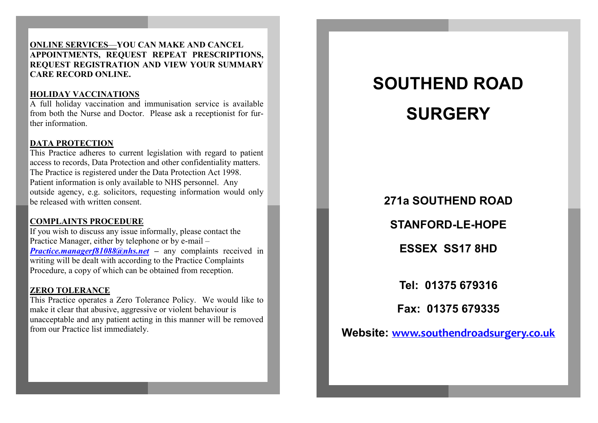#### **ONLINE SERVICES**—**YOU CAN MAKE AND CANCEL APPOINTMENTS, REQUEST REPEAT PRESCRIPTIONS, REQUEST REGISTRATION AND VIEW YOUR SUMMARY CARE RECORD ONLINE.**

# **HOLIDAY VACCINATIONS**

A full holiday vaccination and immunisation service is available from both the Nurse and Doctor. Please ask a receptionist for further information.

# **DATA PROTECTION**

This Practice adheres to current legislation with regard to patient access to records, Data Protection and other confidentiality matters. The Practice is registered under the Data Protection Act 1998. Patient information is only available to NHS personnel. Any outside agency, e.g. solicitors, requesting information would only be released with written consent.

# **COMPLAINTS PROCEDURE**

If you wish to discuss any issue informally, please contact the Practice Manager, either by telephone or by e-mail – *[Practice.managerf81088@nhs.net](mailto:Practicemanagerf81088@nhs.net) –* any complaints received in writing will be dealt with according to the Practice Complaints Procedure, a copy of which can be obtained from reception.

### **ZERO TOLERANCE**

This Practice operates a Zero Tolerance Policy. We would like to make it clear that abusive, aggressive or violent behaviour is unacceptable and any patient acting in this manner will be removed from our Practice list immediately.

# **SOUTHEND ROAD SURGERY**

# **271a SOUTHEND ROAD**

**STANFORD-LE-HOPE**

**ESSEX SS17 8HD**

**Tel: 01375 679316**

**Fax: 01375 679335**

**Website: [www.southendroadsurgery.co.uk](http://www.southendroadsurgery.co.uk)**